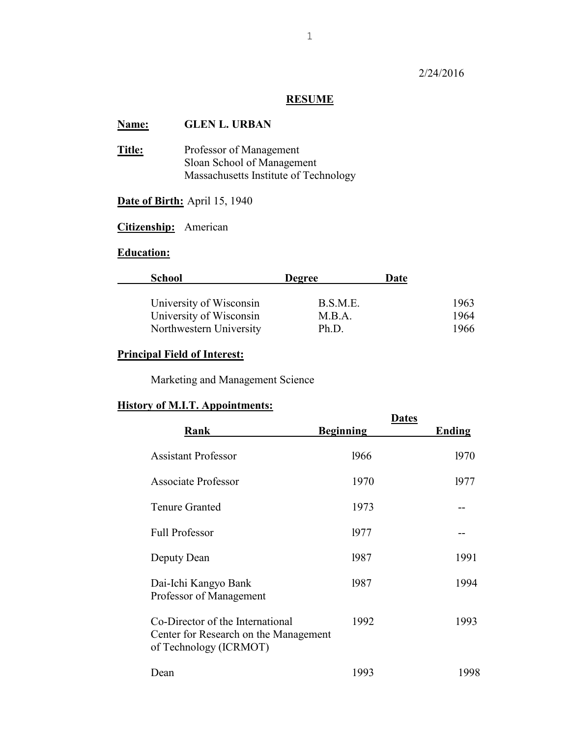## 2/24/2016

## **RESUME**

# **Name: GLEN L. URBAN**

**Title:** Professor of Management Sloan School of Management Massachusetts Institute of Technology

# **Date of Birth:** April 15, 1940

# **Citizenship:** American

# **Education:**

| <b>School</b>           | <b>Degree</b> | Date |      |
|-------------------------|---------------|------|------|
| University of Wisconsin | B.S.M.E.      |      | 1963 |
| University of Wisconsin | M.B.A.        |      | 1964 |
| Northwestern University | Ph.D.         |      | 1966 |

## **Principal Field of Interest:**

Marketing and Management Science

## **History of M.I.T. Appointments:**

| Rank                                                                                                | <b>Dates</b><br><b>Beginning</b> | <b>Ending</b> |
|-----------------------------------------------------------------------------------------------------|----------------------------------|---------------|
| <b>Assistant Professor</b>                                                                          | 1966                             | 1970          |
| <b>Associate Professor</b>                                                                          | 1970                             | 1977          |
| <b>Tenure Granted</b>                                                                               | 1973                             |               |
| <b>Full Professor</b>                                                                               | 1977                             |               |
| Deputy Dean                                                                                         | 1987                             | 1991          |
| Dai-Ichi Kangyo Bank<br>Professor of Management                                                     | 1987                             | 1994          |
| Co-Director of the International<br>Center for Research on the Management<br>of Technology (ICRMOT) | 1992                             | 1993          |
| Dean                                                                                                | 1993                             | 1998          |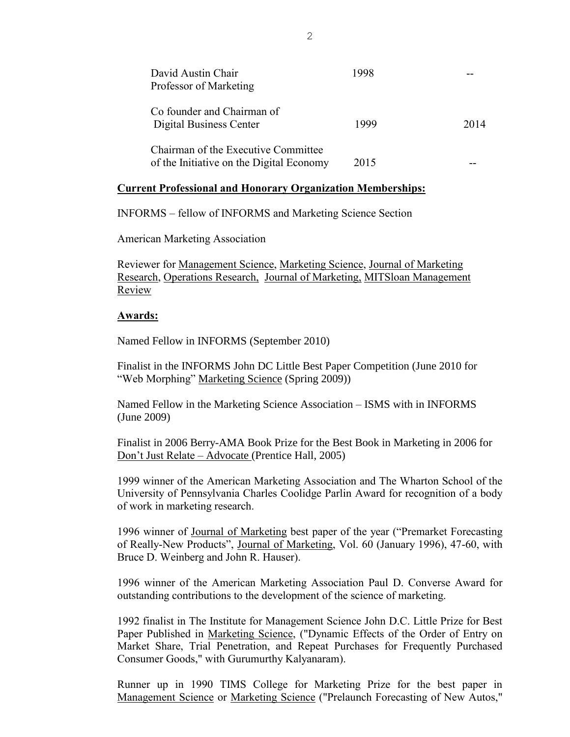| David Austin Chair<br>Professor of Marketing                                    | 1998 |      |
|---------------------------------------------------------------------------------|------|------|
| Co founder and Chairman of<br>Digital Business Center                           | 1999 | 2014 |
| Chairman of the Executive Committee<br>of the Initiative on the Digital Economy | 2015 |      |

#### **Current Professional and Honorary Organization Memberships:**

INFORMS – fellow of INFORMS and Marketing Science Section

American Marketing Association

Reviewer for Management Science, Marketing Science, Journal of Marketing Research, Operations Research, Journal of Marketing, MITSloan Management Review

#### **Awards:**

Named Fellow in INFORMS (September 2010)

Finalist in the INFORMS John DC Little Best Paper Competition (June 2010 for "Web Morphing" Marketing Science (Spring 2009))

Named Fellow in the Marketing Science Association – ISMS with in INFORMS (June 2009)

Finalist in 2006 Berry-AMA Book Prize for the Best Book in Marketing in 2006 for Don't Just Relate – Advocate (Prentice Hall, 2005)

1999 winner of the American Marketing Association and The Wharton School of the University of Pennsylvania Charles Coolidge Parlin Award for recognition of a body of work in marketing research.

1996 winner of Journal of Marketing best paper of the year ("Premarket Forecasting of Really-New Products", Journal of Marketing, Vol. 60 (January 1996), 47-60, with Bruce D. Weinberg and John R. Hauser).

1996 winner of the American Marketing Association Paul D. Converse Award for outstanding contributions to the development of the science of marketing.

1992 finalist in The Institute for Management Science John D.C. Little Prize for Best Paper Published in Marketing Science, ("Dynamic Effects of the Order of Entry on Market Share, Trial Penetration, and Repeat Purchases for Frequently Purchased Consumer Goods," with Gurumurthy Kalyanaram).

Runner up in 1990 TIMS College for Marketing Prize for the best paper in Management Science or Marketing Science ("Prelaunch Forecasting of New Autos,"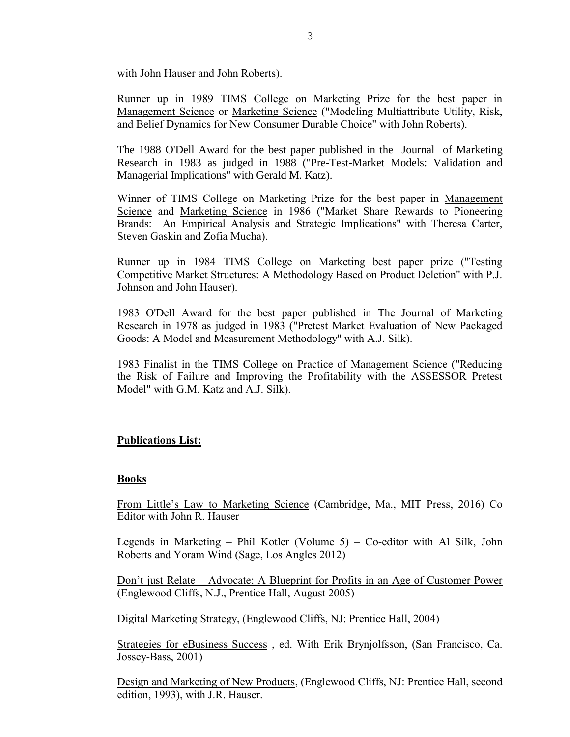with John Hauser and John Roberts).

Runner up in 1989 TIMS College on Marketing Prize for the best paper in Management Science or Marketing Science ("Modeling Multiattribute Utility, Risk, and Belief Dynamics for New Consumer Durable Choice" with John Roberts).

The 1988 O'Dell Award for the best paper published in the Journal of Marketing Research in 1983 as judged in 1988 ("Pre-Test-Market Models: Validation and Managerial Implications" with Gerald M. Katz).

Winner of TIMS College on Marketing Prize for the best paper in Management Science and Marketing Science in 1986 ("Market Share Rewards to Pioneering Brands: An Empirical Analysis and Strategic Implications" with Theresa Carter, Steven Gaskin and Zofia Mucha).

Runner up in 1984 TIMS College on Marketing best paper prize ("Testing Competitive Market Structures: A Methodology Based on Product Deletion" with P.J. Johnson and John Hauser).

1983 O'Dell Award for the best paper published in The Journal of Marketing Research in 1978 as judged in 1983 ("Pretest Market Evaluation of New Packaged Goods: A Model and Measurement Methodology" with A.J. Silk).

1983 Finalist in the TIMS College on Practice of Management Science ("Reducing the Risk of Failure and Improving the Profitability with the ASSESSOR Pretest Model" with G.M. Katz and A.J. Silk).

### **Publications List:**

#### **Books**

From Little's Law to Marketing Science (Cambridge, Ma., MIT Press, 2016) Co Editor with John R. Hauser

Legends in Marketing – Phil Kotler (Volume 5) – Co-editor with Al Silk, John Roberts and Yoram Wind (Sage, Los Angles 2012)

Don't just Relate – Advocate: A Blueprint for Profits in an Age of Customer Power (Englewood Cliffs, N.J., Prentice Hall, August 2005)

Digital Marketing Strategy, (Englewood Cliffs, NJ: Prentice Hall, 2004)

Strategies for eBusiness Success , ed. With Erik Brynjolfsson, (San Francisco, Ca. Jossey-Bass, 2001)

Design and Marketing of New Products, (Englewood Cliffs, NJ: Prentice Hall, second edition, 1993), with J.R. Hauser.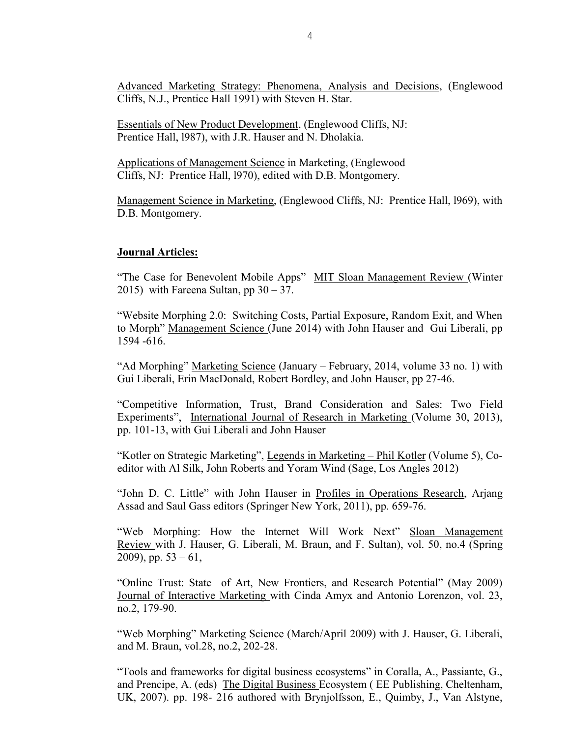Advanced Marketing Strategy: Phenomena, Analysis and Decisions, (Englewood Cliffs, N.J., Prentice Hall 1991) with Steven H. Star.

Essentials of New Product Development, (Englewood Cliffs, NJ: Prentice Hall, l987), with J.R. Hauser and N. Dholakia.

Applications of Management Science in Marketing, (Englewood Cliffs, NJ: Prentice Hall, l970), edited with D.B. Montgomery.

Management Science in Marketing, (Englewood Cliffs, NJ: Prentice Hall, l969), with D.B. Montgomery.

#### **Journal Articles:**

"The Case for Benevolent Mobile Apps" MIT Sloan Management Review (Winter 2015) with Fareena Sultan, pp  $30 - 37$ .

"Website Morphing 2.0: Switching Costs, Partial Exposure, Random Exit, and When to Morph" Management Science (June 2014) with John Hauser and Gui Liberali, pp 1594 -616.

"Ad Morphing" Marketing Science (January – February, 2014, volume 33 no. 1) with Gui Liberali, Erin MacDonald, Robert Bordley, and John Hauser, pp 27-46.

"Competitive Information, Trust, Brand Consideration and Sales: Two Field Experiments", International Journal of Research in Marketing (Volume 30, 2013), pp. 101-13, with Gui Liberali and John Hauser

"Kotler on Strategic Marketing", Legends in Marketing – Phil Kotler (Volume 5), Coeditor with Al Silk, John Roberts and Yoram Wind (Sage, Los Angles 2012)

"John D. C. Little" with John Hauser in Profiles in Operations Research, Arjang Assad and Saul Gass editors (Springer New York, 2011), pp. 659-76.

"Web Morphing: How the Internet Will Work Next" Sloan Management Review with J. Hauser, G. Liberali, M. Braun, and F. Sultan), vol. 50, no.4 (Spring 2009), pp.  $53 - 61$ ,

"Online Trust: State of Art, New Frontiers, and Research Potential" (May 2009) Journal of Interactive Marketing with Cinda Amyx and Antonio Lorenzon, vol. 23, no.2, 179-90.

"Web Morphing" Marketing Science (March/April 2009) with J. Hauser, G. Liberali, and M. Braun, vol.28, no.2, 202-28.

"Tools and frameworks for digital business ecosystems" in Coralla, A., Passiante, G., and Prencipe, A. (eds) The Digital Business Ecosystem ( EE Publishing, Cheltenham, UK, 2007). pp. 198- 216 authored with Brynjolfsson, E., Quimby, J., Van Alstyne,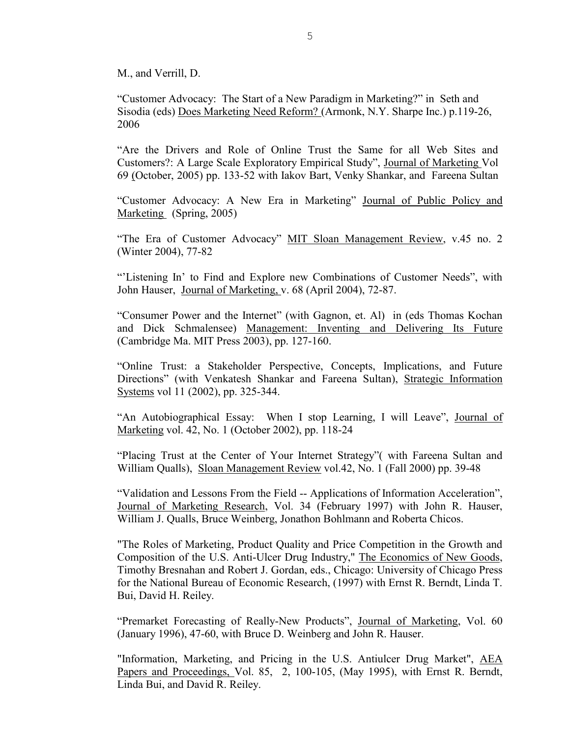M., and Verrill, D.

"Customer Advocacy: The Start of a New Paradigm in Marketing?" in Seth and Sisodia (eds) Does Marketing Need Reform? (Armonk, N.Y. Sharpe Inc.) p.119-26, 2006

"Are the Drivers and Role of Online Trust the Same for all Web Sites and Customers?: A Large Scale Exploratory Empirical Study", Journal of Marketing Vol 69 (October, 2005) pp. 133-52 with Iakov Bart, Venky Shankar, and Fareena Sultan

"Customer Advocacy: A New Era in Marketing" Journal of Public Policy and Marketing (Spring, 2005)

"The Era of Customer Advocacy" MIT Sloan Management Review, v.45 no. 2 (Winter 2004), 77-82

"'Listening In' to Find and Explore new Combinations of Customer Needs", with John Hauser, Journal of Marketing, v. 68 (April 2004), 72-87.

"Consumer Power and the Internet" (with Gagnon, et. Al) in (eds Thomas Kochan and Dick Schmalensee) Management: Inventing and Delivering Its Future (Cambridge Ma. MIT Press 2003), pp. 127-160.

"Online Trust: a Stakeholder Perspective, Concepts, Implications, and Future Directions" (with Venkatesh Shankar and Fareena Sultan), Strategic Information Systems vol 11 (2002), pp. 325-344.

"An Autobiographical Essay: When I stop Learning, I will Leave", Journal of Marketing vol. 42, No. 1 (October 2002), pp. 118-24

"Placing Trust at the Center of Your Internet Strategy"( with Fareena Sultan and William Qualls), Sloan Management Review vol.42, No. 1 (Fall 2000) pp. 39-48

"Validation and Lessons From the Field -- Applications of Information Acceleration", Journal of Marketing Research, Vol. 34 (February 1997) with John R. Hauser, William J. Qualls, Bruce Weinberg, Jonathon Bohlmann and Roberta Chicos.

"The Roles of Marketing, Product Quality and Price Competition in the Growth and Composition of the U.S. Anti-Ulcer Drug Industry," The Economics of New Goods, Timothy Bresnahan and Robert J. Gordan, eds., Chicago: University of Chicago Press for the National Bureau of Economic Research, (1997) with Ernst R. Berndt, Linda T. Bui, David H. Reiley.

"Premarket Forecasting of Really-New Products", Journal of Marketing, Vol. 60 (January 1996), 47-60, with Bruce D. Weinberg and John R. Hauser.

"Information, Marketing, and Pricing in the U.S. Antiulcer Drug Market", AEA Papers and Proceedings, Vol. 85, 2, 100-105, (May 1995), with Ernst R. Berndt, Linda Bui, and David R. Reiley.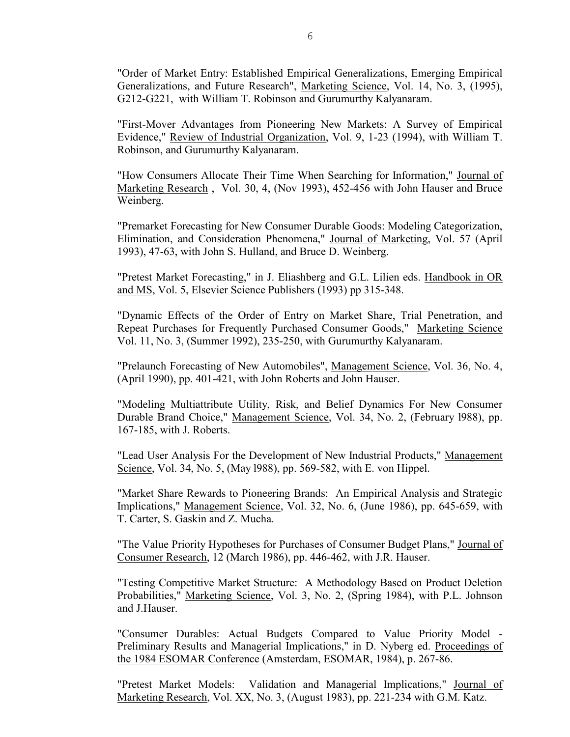"Order of Market Entry: Established Empirical Generalizations, Emerging Empirical Generalizations, and Future Research", Marketing Science, Vol. 14, No. 3, (1995), G212-G221, with William T. Robinson and Gurumurthy Kalyanaram.

"First-Mover Advantages from Pioneering New Markets: A Survey of Empirical Evidence," Review of Industrial Organization, Vol. 9, 1-23 (1994), with William T. Robinson, and Gurumurthy Kalyanaram.

"How Consumers Allocate Their Time When Searching for Information," Journal of Marketing Research , Vol. 30, 4, (Nov 1993), 452-456 with John Hauser and Bruce Weinberg.

"Premarket Forecasting for New Consumer Durable Goods: Modeling Categorization, Elimination, and Consideration Phenomena," Journal of Marketing, Vol. 57 (April 1993), 47-63, with John S. Hulland, and Bruce D. Weinberg.

"Pretest Market Forecasting," in J. Eliashberg and G.L. Lilien eds. Handbook in OR and MS, Vol. 5, Elsevier Science Publishers (1993) pp 315-348.

"Dynamic Effects of the Order of Entry on Market Share, Trial Penetration, and Repeat Purchases for Frequently Purchased Consumer Goods," Marketing Science Vol. 11, No. 3, (Summer 1992), 235-250, with Gurumurthy Kalyanaram.

"Prelaunch Forecasting of New Automobiles", Management Science, Vol. 36, No. 4, (April 1990), pp. 401-421, with John Roberts and John Hauser.

"Modeling Multiattribute Utility, Risk, and Belief Dynamics For New Consumer Durable Brand Choice," Management Science, Vol. 34, No. 2, (February l988), pp. 167-185, with J. Roberts.

"Lead User Analysis For the Development of New Industrial Products," Management Science, Vol. 34, No. 5, (May 1988), pp. 569-582, with E. von Hippel.

"Market Share Rewards to Pioneering Brands: An Empirical Analysis and Strategic Implications," Management Science, Vol. 32, No. 6, (June 1986), pp. 645-659, with T. Carter, S. Gaskin and Z. Mucha.

"The Value Priority Hypotheses for Purchases of Consumer Budget Plans," Journal of Consumer Research, 12 (March 1986), pp. 446-462, with J.R. Hauser.

"Testing Competitive Market Structure: A Methodology Based on Product Deletion Probabilities," Marketing Science, Vol. 3, No. 2, (Spring 1984), with P.L. Johnson and J.Hauser.

"Consumer Durables: Actual Budgets Compared to Value Priority Model - Preliminary Results and Managerial Implications," in D. Nyberg ed. Proceedings of the 1984 ESOMAR Conference (Amsterdam, ESOMAR, 1984), p. 267-86.

"Pretest Market Models: Validation and Managerial Implications," Journal of Marketing Research, Vol. XX, No. 3, (August 1983), pp. 221-234 with G.M. Katz.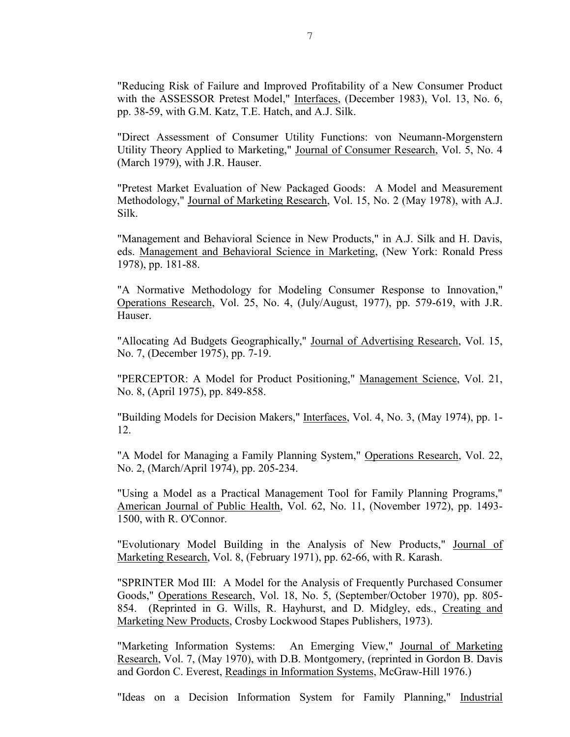"Reducing Risk of Failure and Improved Profitability of a New Consumer Product with the ASSESSOR Pretest Model," Interfaces, (December 1983), Vol. 13, No. 6, pp. 38-59, with G.M. Katz, T.E. Hatch, and A.J. Silk.

"Direct Assessment of Consumer Utility Functions: von Neumann-Morgenstern Utility Theory Applied to Marketing," Journal of Consumer Research, Vol. 5, No. 4 (March 1979), with J.R. Hauser.

"Pretest Market Evaluation of New Packaged Goods: A Model and Measurement Methodology," Journal of Marketing Research, Vol. 15, No. 2 (May 1978), with A.J. Silk.

"Management and Behavioral Science in New Products," in A.J. Silk and H. Davis, eds. Management and Behavioral Science in Marketing, (New York: Ronald Press 1978), pp. 181-88.

"A Normative Methodology for Modeling Consumer Response to Innovation," Operations Research, Vol. 25, No. 4, (July/August, 1977), pp. 579-619, with J.R. Hauser.

"Allocating Ad Budgets Geographically," Journal of Advertising Research, Vol. 15, No. 7, (December 1975), pp. 7-19.

"PERCEPTOR: A Model for Product Positioning," Management Science, Vol. 21, No. 8, (April 1975), pp. 849-858.

"Building Models for Decision Makers," Interfaces, Vol. 4, No. 3, (May 1974), pp. 1- 12.

"A Model for Managing a Family Planning System," Operations Research, Vol. 22, No. 2, (March/April 1974), pp. 205-234.

"Using a Model as a Practical Management Tool for Family Planning Programs," American Journal of Public Health, Vol. 62, No. 11, (November 1972), pp. 1493- 1500, with R. O'Connor.

"Evolutionary Model Building in the Analysis of New Products," Journal of Marketing Research, Vol. 8, (February 1971), pp. 62-66, with R. Karash.

"SPRINTER Mod III: A Model for the Analysis of Frequently Purchased Consumer Goods," Operations Research, Vol. 18, No. 5, (September/October 1970), pp. 805- 854. (Reprinted in G. Wills, R. Hayhurst, and D. Midgley, eds., Creating and Marketing New Products, Crosby Lockwood Stapes Publishers, 1973).

"Marketing Information Systems: An Emerging View," Journal of Marketing Research, Vol. 7, (May 1970), with D.B. Montgomery, (reprinted in Gordon B. Davis and Gordon C. Everest, Readings in Information Systems, McGraw-Hill 1976.)

"Ideas on a Decision Information System for Family Planning," Industrial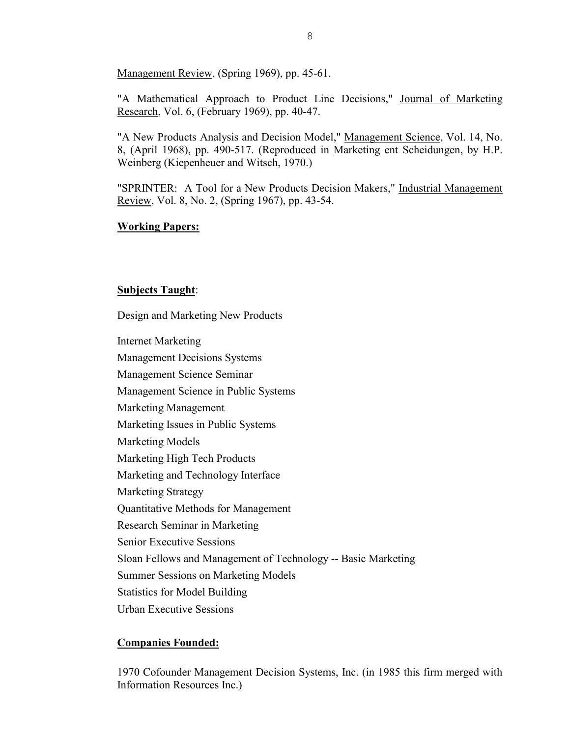Management Review, (Spring 1969), pp. 45-61.

"A Mathematical Approach to Product Line Decisions," Journal of Marketing Research, Vol. 6, (February 1969), pp. 40-47.

"A New Products Analysis and Decision Model," Management Science, Vol. 14, No. 8, (April 1968), pp. 490-517. (Reproduced in Marketing ent Scheidungen, by H.P. Weinberg (Kiepenheuer and Witsch, 1970.)

"SPRINTER: A Tool for a New Products Decision Makers," Industrial Management Review, Vol. 8, No. 2, (Spring 1967), pp. 43-54.

### **Working Papers:**

## **Subjects Taught**:

Design and Marketing New Products

Internet Marketing

Management Decisions Systems

Management Science Seminar

Management Science in Public Systems

Marketing Management

Marketing Issues in Public Systems

Marketing Models

Marketing High Tech Products

Marketing and Technology Interface

Marketing Strategy

Quantitative Methods for Management

Research Seminar in Marketing

Senior Executive Sessions

Sloan Fellows and Management of Technology -- Basic Marketing

Summer Sessions on Marketing Models

Statistics for Model Building

Urban Executive Sessions

## **Companies Founded:**

1970 Cofounder Management Decision Systems, Inc. (in 1985 this firm merged with Information Resources Inc.)